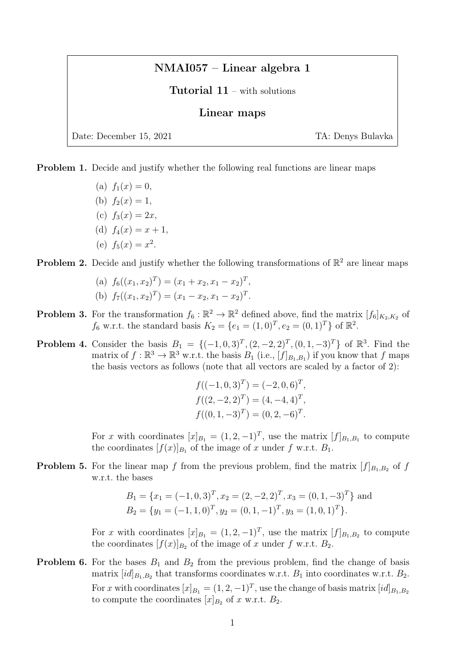## NMAI057 – Linear algebra 1

## Tutorial 11 – with solutions

## Linear maps

Date: December 15, 2021 TA: Denys Bulavka

Problem 1. Decide and justify whether the following real functions are linear maps

(a)  $f_1(x) = 0$ , (b)  $f_2(x) = 1$ , (c)  $f_3(x) = 2x$ , (d)  $f_4(x) = x + 1$ , (e)  $f_5(x) = x^2$ .

## **Problem 2.** Decide and justify whether the following transformations of  $\mathbb{R}^2$  are linear maps

(a) 
$$
f_6((x_1, x_2)^T) = (x_1 + x_2, x_1 - x_2)^T
$$
,  
\n(b)  $f_7((x_1, x_2)^T) = (x_1 - x_2, x_1 - x_2)^T$ .

- **Problem 3.** For the transformation  $f_6 : \mathbb{R}^2 \to \mathbb{R}^2$  defined above, find the matrix  $[f_6]_{K_2,K_2}$  of  $f_6$  w.r.t. the standard basis  $K_2 = \{e_1 = (1,0)^T, e_2 = (0,1)^T\}$  of  $\mathbb{R}^2$ .
- **Problem 4.** Consider the basis  $B_1 = \{(-1,0,3)^T, (2,-2,2)^T, (0,1,-3)^T\}$  of  $\mathbb{R}^3$ . Find the matrix of  $f : \mathbb{R}^3 \to \mathbb{R}^3$  w.r.t. the basis  $B_1$  (i.e.,  $[f]_{B_1,B_1}$ ) if you know that f maps the basis vectors as follows (note that all vectors are scaled by a factor of 2):

$$
f((-1, 0, 3)T) = (-2, 0, 6)T,f((2, -2, 2)T) = (4, -4, 4)T,f((0, 1, -3)T) = (0, 2, -6)T.
$$

For x with coordinates  $[x]_{B_1} = (1, 2, -1)^T$ , use the matrix  $[f]_{B_1, B_1}$  to compute the coordinates  $[f(x)]_{B_1}$  of the image of x under f w.r.t.  $B_1$ .

**Problem 5.** For the linear map f from the previous problem, find the matrix  $[f]_{B_1,B_2}$  of f w.r.t. the bases

$$
B_1 = \{x_1 = (-1, 0, 3)^T, x_2 = (2, -2, 2)^T, x_3 = (0, 1, -3)^T\}
$$
 and  

$$
B_2 = \{y_1 = (-1, 1, 0)^T, y_2 = (0, 1, -1)^T, y_3 = (1, 0, 1)^T\}.
$$

For x with coordinates  $[x]_{B_1} = (1, 2, -1)^T$ , use the matrix  $[f]_{B_1, B_2}$  to compute the coordinates  $[f(x)]_{B_2}$  of the image of x under f w.r.t.  $B_2$ .

**Problem 6.** For the bases  $B_1$  and  $B_2$  from the previous problem, find the change of basis matrix  $(id]_{B_1,B_2}$  that transforms coordinates w.r.t.  $B_1$  into coordinates w.r.t.  $B_2$ . For x with coordinates  $[x]_{B_1} = (1, 2, -1)^T$ , use the change of basis matrix  $[id]_{B_1, B_2}$ to compute the coordinates  $[x]_{B_2}$  of x w.r.t.  $B_2$ .